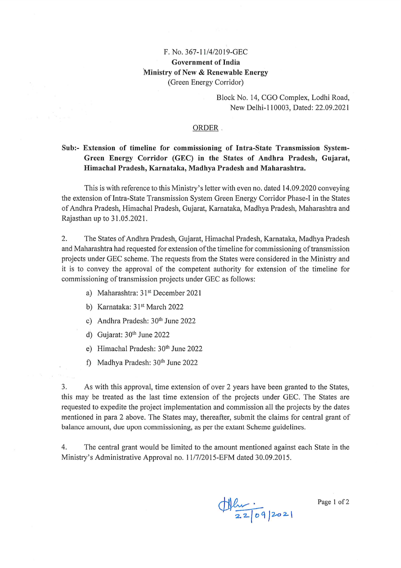# F. No. 367-11/4/2019-GEC **Government of India** Ministry of New & Renewable Energy (Green Energy Corridor)

Block No. 14, CGO Complex, Lodhi Road, New Delhi-110003, Dated: 22.09.2021

#### ORDER.

# Sub:- Extension of timeline for commissioning of Intra-State Transmission System-Green Energy Corridor (GEC) in the States of Andhra Pradesh, Gujarat, Himachal Pradesh, Karnataka, Madhya Pradesh and Maharashtra.

This is with reference to this Ministry's letter with even no. dated 14.09.2020 conveying the extension of Intra-State Transmission System Green Energy Corridor Phase-I in the States of Andhra Pradesh, Himachal Pradesh, Gujarat, Karnataka, Madhya Pradesh, Maharashtra and Rajasthan up to 31.05.2021.

 $\overline{2}$ . The States of Andhra Pradesh, Gujarat, Himachal Pradesh, Karnataka, Madhya Pradesh and Maharashtra had requested for extension of the timeline for commissioning of transmission projects under GEC scheme. The requests from the States were considered in the Ministry and it is to convey the approval of the competent authority for extension of the timeline for commissioning of transmission projects under GEC as follows:

- a) Maharashtra: 31<sup>st</sup> December 2021
- b) Karnataka: 31<sup>st</sup> March 2022
- c) Andhra Pradesh: 30th June 2022
- d) Gujarat:  $30<sup>th</sup>$  June 2022
- e) Himachal Pradesh: 30th June 2022
- f) Madhya Pradesh: 30th June 2022

3. As with this approval, time extension of over 2 years have been granted to the States, this may be treated as the last time extension of the projects under GEC. The States are requested to expedite the project implementation and commission all the projects by the dates mentioned in para 2 above. The States may, thereafter, submit the claims for central grant of balance amount, due upon commissioning, as per the extant Scheme guidelines.

 $4.$ The central grant would be limited to the amount mentioned against each State in the Ministry's Administrative Approval no. 11/7/2015-EFM dated 30.09.2015.

 $\frac{1}{22|09|202|}$ 

Page 1 of 2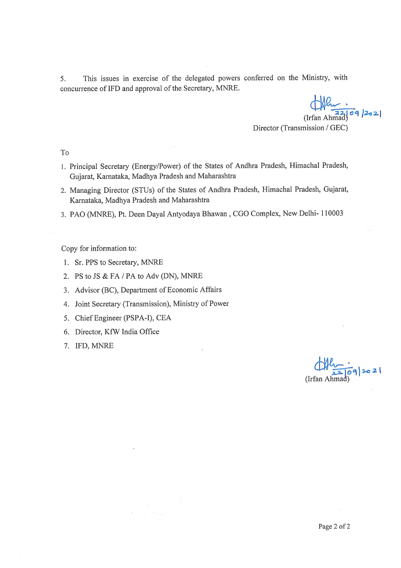This issues in exercise of the delegated powers conferred on the Ministry, with 5. concurrence of IFD and approval of the Secretary, MNRE.

 $\bigoplus_{(Irfan Ahm\hat{a}d)}$  09/2021

Director (Transmission / GEC)

 $To$ 

- 1. Principal Secretary (Energy/Power) of the States of Andhra Pradesh, Himachal Pradesh, Gujarat, Karnataka, Madhya Pradesh and Maharashtra
- 2. Managing Director (STUs) of the States of Andhra Pradesh, Himachal Pradesh, Gujarat, Karnataka, Madhya Pradesh and Maharashtra
- 3. PAO (MNRE), Pt. Deen Dayal Antyodaya Bhawan, CGO Complex, New Delhi- 110003

Copy for information to:

- 1. Sr. PPS to Secretary, MNRE
- 2. PS to JS & FA / PA to Adv (DN), MNRE
- 3. Advisor (BC), Department of Economic Affairs
- 4. Joint Secretary (Transmission), Ministry of Power
- 5. Chief Engineer (PSPA-I), CEA
- 6. Director, KfW India Office
- 7. IFD, MNRE

 $\frac{1}{22|09|202|}$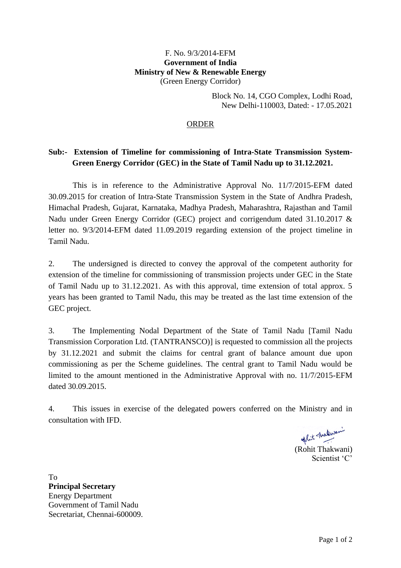#### F. No. 9/3/2014-EFM **Government of India Ministry of New & Renewable Energy** (Green Energy Corridor)

Block No. 14, CGO Complex, Lodhi Road, New Delhi-110003, Dated: - 17.05.2021

### ORDER

# **Sub:- Extension of Timeline for commissioning of Intra-State Transmission System-Green Energy Corridor (GEC) in the State of Tamil Nadu up to 31.12.2021.**

This is in reference to the Administrative Approval No. 11/7/2015-EFM dated 30.09.2015 for creation of Intra-State Transmission System in the State of Andhra Pradesh, Himachal Pradesh, Gujarat, Karnataka, Madhya Pradesh, Maharashtra, Rajasthan and Tamil Nadu under Green Energy Corridor (GEC) project and corrigendum dated 31.10.2017 & letter no. 9/3/2014-EFM dated 11.09.2019 regarding extension of the project timeline in Tamil Nadu.

2. The undersigned is directed to convey the approval of the competent authority for extension of the timeline for commissioning of transmission projects under GEC in the State of Tamil Nadu up to 31.12.2021. As with this approval, time extension of total approx. 5 years has been granted to Tamil Nadu, this may be treated as the last time extension of the GEC project.

3. The Implementing Nodal Department of the State of Tamil Nadu [Tamil Nadu Transmission Corporation Ltd. (TANTRANSCO)] is requested to commission all the projects by 31.12.2021 and submit the claims for central grant of balance amount due upon commissioning as per the Scheme guidelines. The central grant to Tamil Nadu would be limited to the amount mentioned in the Administrative Approval with no. 11/7/2015-EFM dated 30.09.2015.

4. This issues in exercise of the delegated powers conferred on the Ministry and in consultation with IFD.

(Rohit Thakwani)

Scientist 'C'

To **Principal Secretary** Energy Department Government of Tamil Nadu Secretariat, Chennai-600009.